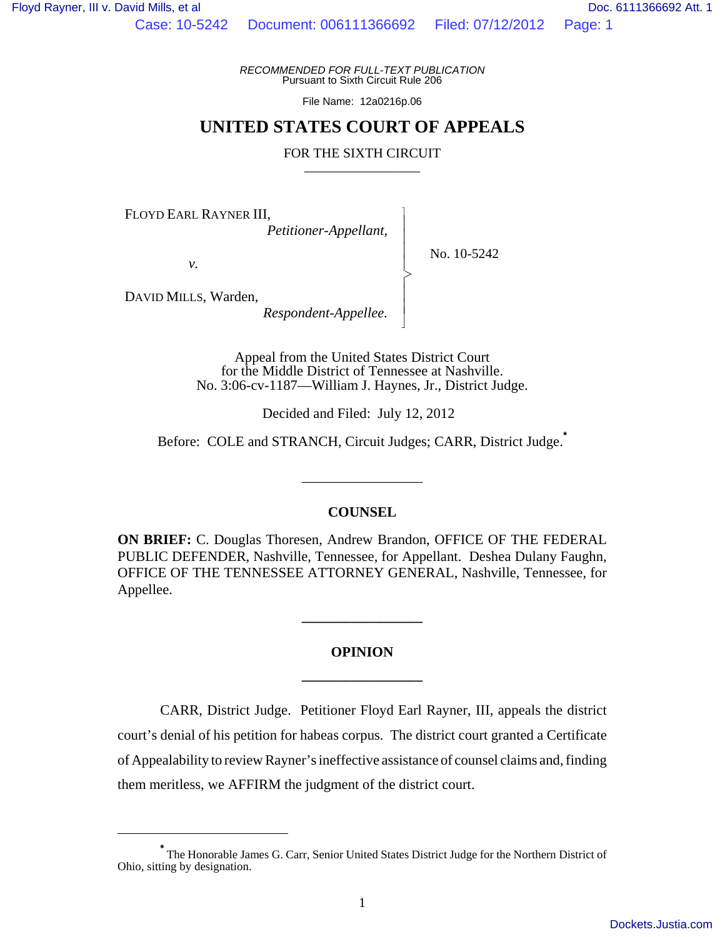Case: 10-5242 Document: 006111366692 Filed: 07/12/2012 Page: 1

 $\overline{\phantom{a}}$ - - - > , - - N

*RECOMMENDED FOR FULL-TEXT PUBLICATION* Pursuant to Sixth Circuit Rule 206

File Name: 12a0216p.06

# **UNITED STATES COURT OF APPEALS**

# FOR THE SIXTH CIRCUIT

FLOYD EARL RAYNER III,

 *Petitioner-Appellant,*

No. 10-5242

*v.*

DAVID MILLS, Warden,

 *Respondent-Appellee.*

Appeal from the United States District Court for the Middle District of Tennessee at Nashville. No. 3:06-cv-1187—William J. Haynes, Jr., District Judge.

Decided and Filed: July 12, 2012

Before: COLE and STRANCH, Circuit Judges; CARR, District Judge.**\***

\_\_\_\_\_\_\_\_\_\_\_\_\_\_\_\_\_

# **COUNSEL**

**ON BRIEF:** C. Douglas Thoresen, Andrew Brandon, OFFICE OF THE FEDERAL PUBLIC DEFENDER, Nashville, Tennessee, for Appellant. Deshea Dulany Faughn, OFFICE OF THE TENNESSEE ATTORNEY GENERAL, Nashville, Tennessee, for Appellee.

# **OPINION \_\_\_\_\_\_\_\_\_\_\_\_\_\_\_\_\_**

**\_\_\_\_\_\_\_\_\_\_\_\_\_\_\_\_\_**

CARR, District Judge. Petitioner Floyd Earl Rayner, III, appeals the district court's denial of his petition for habeas corpus. The district court granted a Certificate of Appealability to review Rayner's ineffective assistance of counsel claims and, finding them meritless, we AFFIRM the judgment of the district court.

**<sup>\*</sup>** The Honorable James G. Carr, Senior United States District Judge for the Northern District of Ohio, sitting by designation.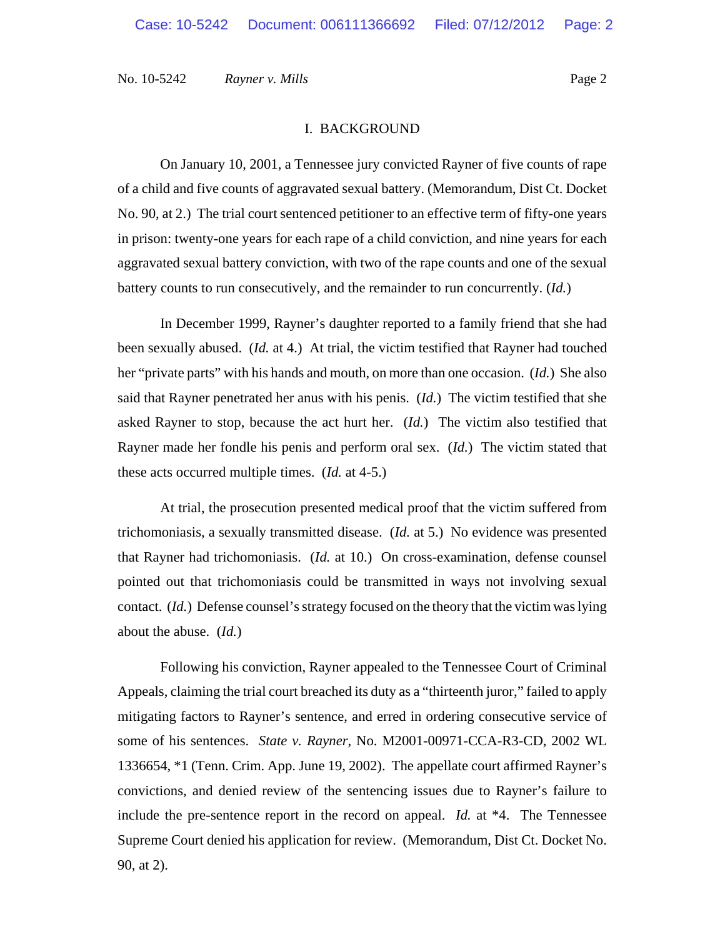## I. BACKGROUND

On January 10, 2001, a Tennessee jury convicted Rayner of five counts of rape of a child and five counts of aggravated sexual battery. (Memorandum, Dist Ct. Docket No. 90, at 2.) The trial court sentenced petitioner to an effective term of fifty-one years in prison: twenty-one years for each rape of a child conviction, and nine years for each aggravated sexual battery conviction, with two of the rape counts and one of the sexual battery counts to run consecutively, and the remainder to run concurrently. (*Id.*)

In December 1999, Rayner's daughter reported to a family friend that she had been sexually abused. (*Id.* at 4.) At trial, the victim testified that Rayner had touched her "private parts" with his hands and mouth, on more than one occasion. (*Id.*) She also said that Rayner penetrated her anus with his penis. (*Id.*) The victim testified that she asked Rayner to stop, because the act hurt her. (*Id.*) The victim also testified that Rayner made her fondle his penis and perform oral sex.(*Id.*) The victim stated that these acts occurred multiple times. (*Id.* at 4-5.)

At trial, the prosecution presented medical proof that the victim suffered from trichomoniasis, a sexually transmitted disease. (*Id.* at 5.) No evidence was presented that Rayner had trichomoniasis. (*Id.* at 10.) On cross-examination, defense counsel pointed out that trichomoniasis could be transmitted in ways not involving sexual contact. (*Id.*) Defense counsel's strategy focused on the theory that the victim was lying about the abuse. (*Id.*)

Following his conviction, Rayner appealed to the Tennessee Court of Criminal Appeals, claiming the trial court breached its duty as a "thirteenth juror," failed to apply mitigating factors to Rayner's sentence, and erred in ordering consecutive service of some of his sentences. *State v. Rayner*, No. M2001-00971-CCA-R3-CD, 2002 WL 1336654, \*1 (Tenn. Crim. App. June 19, 2002). The appellate court affirmed Rayner's convictions, and denied review of the sentencing issues due to Rayner's failure to include the pre-sentence report in the record on appeal. *Id.* at \*4. The Tennessee Supreme Court denied his application for review. (Memorandum, Dist Ct. Docket No. 90, at 2).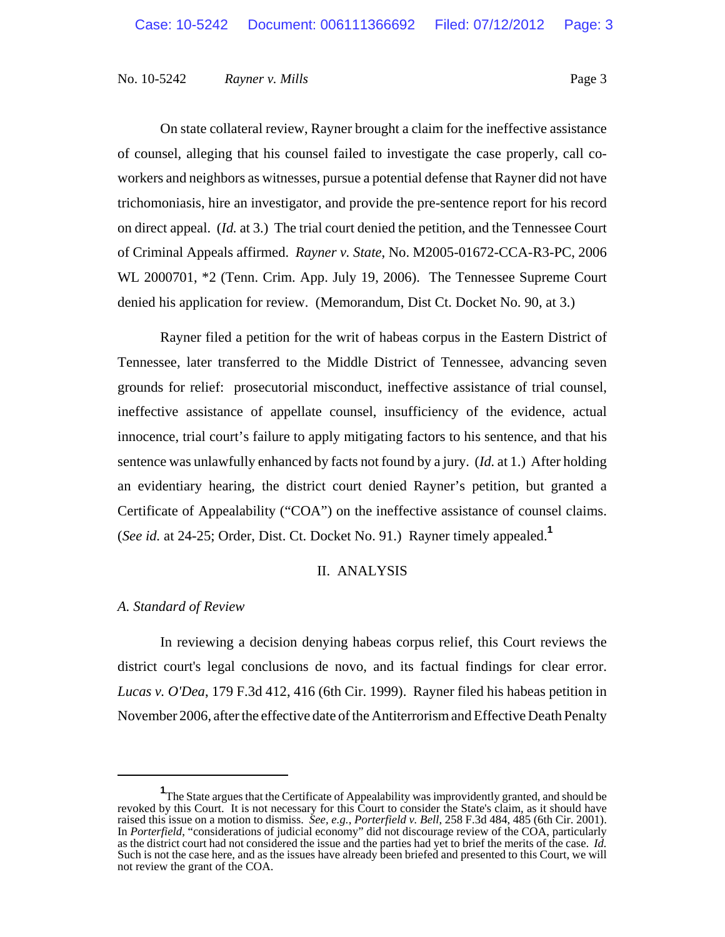On state collateral review, Rayner brought a claim for the ineffective assistance of counsel, alleging that his counsel failed to investigate the case properly, call coworkers and neighbors as witnesses, pursue a potential defense that Rayner did not have trichomoniasis, hire an investigator, and provide the pre-sentence report for his record on direct appeal. (*Id.* at 3.) The trial court denied the petition, and the Tennessee Court of Criminal Appeals affirmed. *Rayner v. State*, No. M2005-01672-CCA-R3-PC, 2006 WL 2000701, \*2 (Tenn. Crim. App. July 19, 2006). The Tennessee Supreme Court denied his application for review. (Memorandum, Dist Ct. Docket No. 90, at 3.)

Rayner filed a petition for the writ of habeas corpus in the Eastern District of Tennessee, later transferred to the Middle District of Tennessee, advancing seven grounds for relief: prosecutorial misconduct, ineffective assistance of trial counsel, ineffective assistance of appellate counsel, insufficiency of the evidence, actual innocence, trial court's failure to apply mitigating factors to his sentence, and that his sentence was unlawfully enhanced by facts not found by a jury. (*Id.* at 1.) After holding an evidentiary hearing, the district court denied Rayner's petition, but granted a Certificate of Appealability ("COA") on the ineffective assistance of counsel claims. (*See id.* at 24-25; Order, Dist. Ct. Docket No. 91.) Rayner timely appealed.**<sup>1</sup>**

# II. ANALYSIS

# *A. Standard of Review*

In reviewing a decision denying habeas corpus relief, this Court reviews the district court's legal conclusions de novo, and its factual findings for clear error. *Lucas v. O'Dea*, 179 F.3d 412, 416 (6th Cir. 1999). Rayner filed his habeas petition in November 2006, after the effective date of the Antiterrorism and Effective Death Penalty

<sup>&</sup>lt;sup>1</sup>The State argues that the Certificate of Appealability was improvidently granted, and should be revoked by this Court. It is not necessary for this Court to consider the State's claim, as it should have raised this issue on a motion to dismiss. *See, e.g.*, *Porterfield v. Bell*, 258 F.3d 484, 485 (6th Cir. 2001). In *Porterfield*, "considerations of judicial economy" did not discourage review of the COA, particularly as the district court had not considered the issue and the parties had yet to brief the merits of the case. *Id.* Such is not the case here, and as the issues have already been briefed and presented to this Court, we will not review the grant of the COA.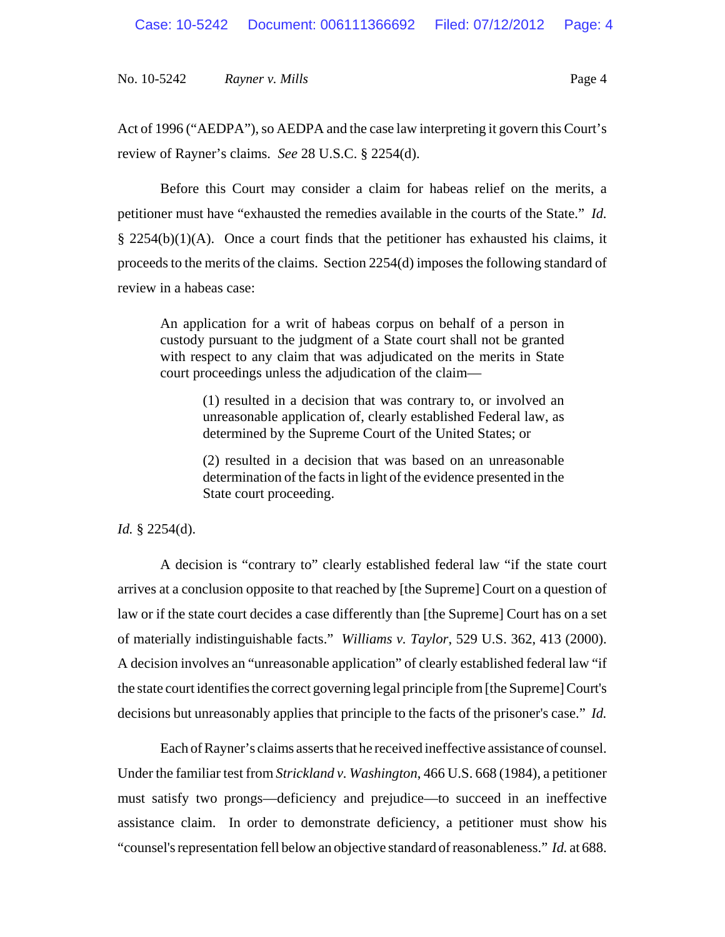Act of 1996 ("AEDPA"), so AEDPA and the case law interpreting it govern this Court's review of Rayner's claims. *See* 28 U.S.C. § 2254(d).

Before this Court may consider a claim for habeas relief on the merits, a petitioner must have "exhausted the remedies available in the courts of the State." *Id.*  $\S$  2254(b)(1)(A). Once a court finds that the petitioner has exhausted his claims, it proceeds to the merits of the claims. Section 2254(d) imposes the following standard of review in a habeas case:

An application for a writ of habeas corpus on behalf of a person in custody pursuant to the judgment of a State court shall not be granted with respect to any claim that was adjudicated on the merits in State court proceedings unless the adjudication of the claim—

> (1) resulted in a decision that was contrary to, or involved an unreasonable application of, clearly established Federal law, as determined by the Supreme Court of the United States; or

> (2) resulted in a decision that was based on an unreasonable determination of the facts in light of the evidence presented in the State court proceeding.

# *Id.* § 2254(d).

A decision is "contrary to" clearly established federal law "if the state court arrives at a conclusion opposite to that reached by [the Supreme] Court on a question of law or if the state court decides a case differently than [the Supreme] Court has on a set of materially indistinguishable facts." *Williams v. Taylor*, 529 U.S. 362, 413 (2000). A decision involves an "unreasonable application" of clearly established federal law "if the state court identifies the correct governing legal principle from [the Supreme] Court's decisions but unreasonably applies that principle to the facts of the prisoner's case." *Id.*

Each of Rayner's claims asserts that he received ineffective assistance of counsel. Under the familiar test from *Strickland v. Washington*, 466 U.S. 668 (1984), a petitioner must satisfy two prongs—deficiency and prejudice—to succeed in an ineffective assistance claim. In order to demonstrate deficiency, a petitioner must show his "counsel's representation fell below an objective standard of reasonableness." *Id.* at 688.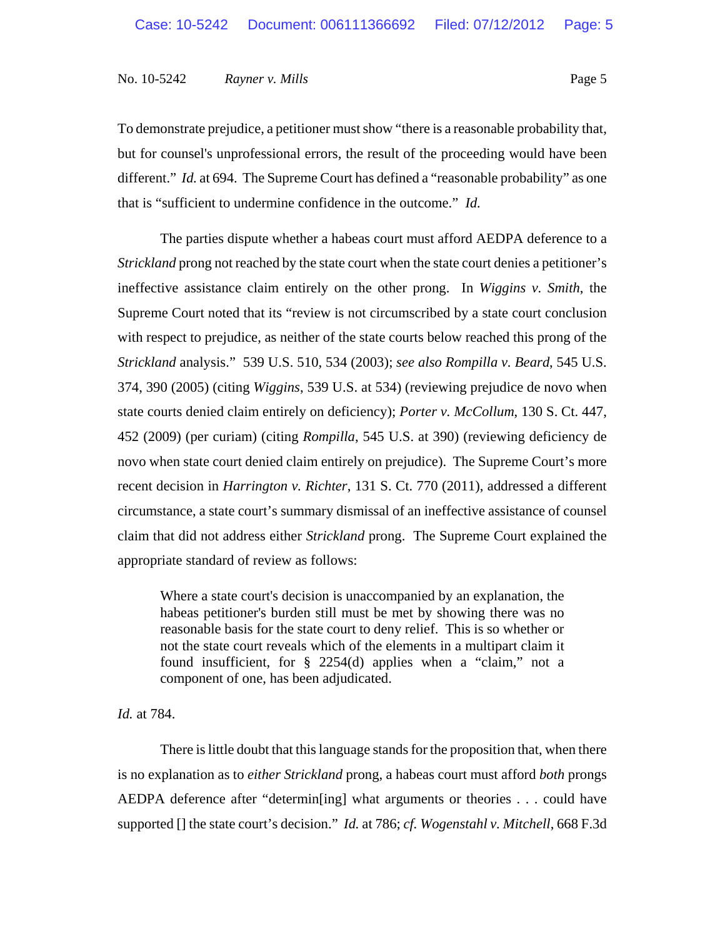To demonstrate prejudice, a petitioner must show "there is a reasonable probability that, but for counsel's unprofessional errors, the result of the proceeding would have been different." *Id.* at 694. The Supreme Court has defined a "reasonable probability" as one that is "sufficient to undermine confidence in the outcome." *Id.*

The parties dispute whether a habeas court must afford AEDPA deference to a *Strickland* prong not reached by the state court when the state court denies a petitioner's ineffective assistance claim entirely on the other prong. In *Wiggins v. Smith*, the Supreme Court noted that its "review is not circumscribed by a state court conclusion with respect to prejudice, as neither of the state courts below reached this prong of the *Strickland* analysis." 539 U.S. 510, 534 (2003); *see also Rompilla v. Beard*, 545 U.S. 374, 390 (2005) (citing *Wiggins*, 539 U.S. at 534) (reviewing prejudice de novo when state courts denied claim entirely on deficiency); *Porter v. McCollum*, 130 S. Ct. 447, 452 (2009) (per curiam) (citing *Rompilla*, 545 U.S. at 390) (reviewing deficiency de novo when state court denied claim entirely on prejudice). The Supreme Court's more recent decision in *Harrington v. Richter*, 131 S. Ct. 770 (2011), addressed a different circumstance, a state court's summary dismissal of an ineffective assistance of counsel claim that did not address either *Strickland* prong. The Supreme Court explained the appropriate standard of review as follows:

Where a state court's decision is unaccompanied by an explanation, the habeas petitioner's burden still must be met by showing there was no reasonable basis for the state court to deny relief. This is so whether or not the state court reveals which of the elements in a multipart claim it found insufficient, for § 2254(d) applies when a "claim," not a component of one, has been adjudicated.

*Id.* at 784.

There is little doubt that this language stands for the proposition that, when there is no explanation as to *either Strickland* prong, a habeas court must afford *both* prongs AEDPA deference after "determin[ing] what arguments or theories . . . could have supported [] the state court's decision." *Id.* at 786; *cf. Wogenstahl v. Mitchell*, 668 F.3d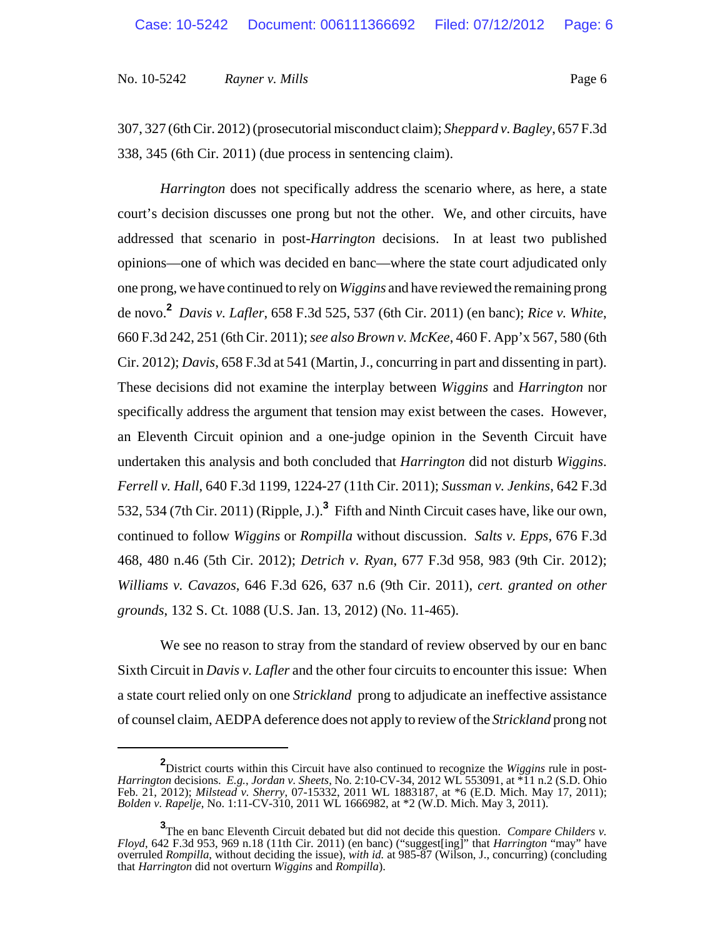307, 327 (6th Cir. 2012) (prosecutorial misconduct claim); *Sheppard v. Bagley*, 657 F.3d 338, 345 (6th Cir. 2011) (due process in sentencing claim).

*Harrington* does not specifically address the scenario where, as here, a state court's decision discusses one prong but not the other. We, and other circuits, have addressed that scenario in post-*Harrington* decisions. In at least two published opinions—one of which was decided en banc—where the state court adjudicated only one prong, we have continued to rely on *Wiggins* and have reviewed the remaining prong de novo.**<sup>2</sup>** *Davis v. Lafler*, 658 F.3d 525, 537 (6th Cir. 2011) (en banc); *Rice v. White*, 660 F.3d 242, 251 (6th Cir. 2011); *see also Brown v. McKee*, 460 F. App'x 567, 580 (6th Cir. 2012); *Davis*, 658 F.3d at 541 (Martin, J., concurring in part and dissenting in part). These decisions did not examine the interplay between *Wiggins* and *Harrington* nor specifically address the argument that tension may exist between the cases. However, an Eleventh Circuit opinion and a one-judge opinion in the Seventh Circuit have undertaken this analysis and both concluded that *Harrington* did not disturb *Wiggins*. *Ferrell v. Hall*, 640 F.3d 1199, 1224-27 (11th Cir. 2011); *Sussman v. Jenkins*, 642 F.3d 532, 534 (7th Cir. 2011) (Ripple, J.).**<sup>3</sup>** Fifth and Ninth Circuit cases have, like our own, continued to follow *Wiggins* or *Rompilla* without discussion. *Salts v. Epps*, 676 F.3d 468, 480 n.46 (5th Cir. 2012); *Detrich v. Ryan*, 677 F.3d 958, 983 (9th Cir. 2012); *Williams v. Cavazos*, 646 F.3d 626, 637 n.6 (9th Cir. 2011), *cert. granted on other grounds*, 132 S. Ct. 1088 (U.S. Jan. 13, 2012) (No. 11-465).

We see no reason to stray from the standard of review observed by our en banc Sixth Circuit in *Davis v. Lafler* and the other four circuits to encounter this issue: When a state court relied only on one *Strickland* prong to adjudicate an ineffective assistance of counsel claim, AEDPA deference does not apply to review of the *Strickland* prong not

**<sup>2</sup>** District courts within this Circuit have also continued to recognize the *Wiggins* rule in post-*Harrington* decisions. *E.g.*, *Jordan v. Sheets*, No. 2:10-CV-34, 2012 WL 553091, at \*11 n.2 (S.D. Ohio Feb. 21, 2012); *Milstead v. Sherry*, 07-15332, 2011 WL 1883187, at \*6 (E.D. Mich. May 17, 2011); *Bolden v. Rapelje*, No. 1:11-CV-310, 2011 WL 1666982, at \*2 (W.D. Mich. May 3, 2011).

**<sup>3</sup>** The en banc Eleventh Circuit debated but did not decide this question. *Compare Childers v. Floyd*, 642 F.3d 953, 969 n.18 (11th Cir. 2011) (en banc) ("suggest[ing]" that *Harrington* "may" have overruled *Rompilla*, without deciding the issue), *with id.* at 985-87 (Wilson, J., concurring) (concluding that *Harrington* did not overturn *Wiggins* and *Rompilla*).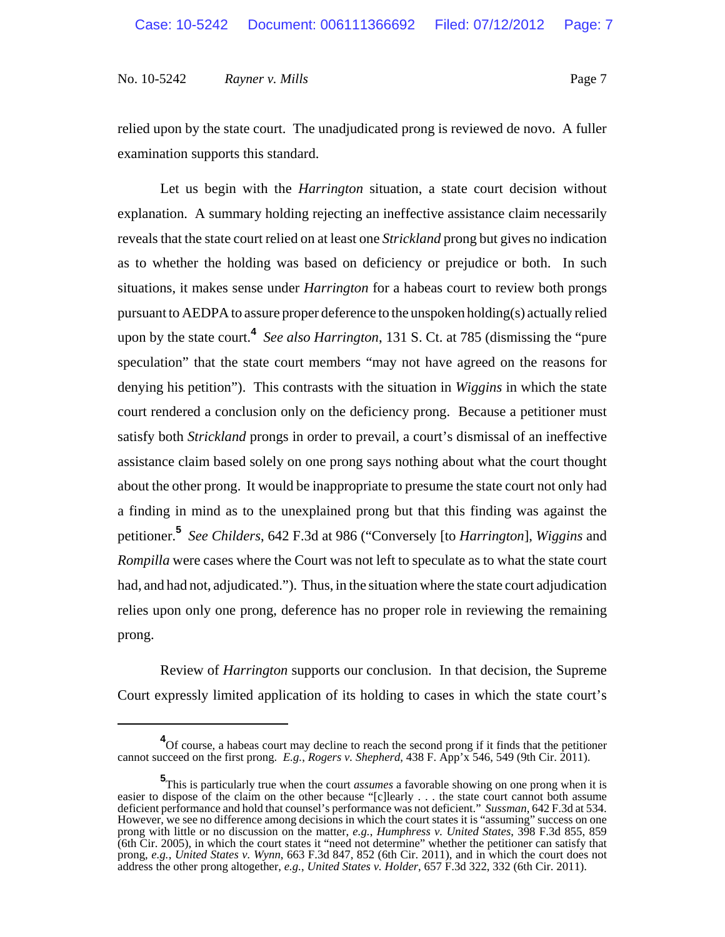relied upon by the state court. The unadjudicated prong is reviewed de novo. A fuller examination supports this standard.

Let us begin with the *Harrington* situation, a state court decision without explanation. A summary holding rejecting an ineffective assistance claim necessarily reveals that the state court relied on at least one *Strickland* prong but gives no indication as to whether the holding was based on deficiency or prejudice or both. In such situations, it makes sense under *Harrington* for a habeas court to review both prongs pursuant to AEDPA to assure proper deference to the unspoken holding(s) actually relied upon by the state court.**<sup>4</sup>** *See also Harrington*, 131 S. Ct. at 785 (dismissing the "pure speculation" that the state court members "may not have agreed on the reasons for denying his petition"). This contrasts with the situation in *Wiggins* in which the state court rendered a conclusion only on the deficiency prong. Because a petitioner must satisfy both *Strickland* prongs in order to prevail, a court's dismissal of an ineffective assistance claim based solely on one prong says nothing about what the court thought about the other prong. It would be inappropriate to presume the state court not only had a finding in mind as to the unexplained prong but that this finding was against the petitioner.**<sup>5</sup>** *See Childers*, 642 F.3d at 986 ("Conversely [to *Harrington*], *Wiggins* and *Rompilla* were cases where the Court was not left to speculate as to what the state court had, and had not, adjudicated."). Thus, in the situation where the state court adjudication relies upon only one prong, deference has no proper role in reviewing the remaining prong.

Review of *Harrington* supports our conclusion. In that decision, the Supreme Court expressly limited application of its holding to cases in which the state court's

<sup>&</sup>lt;sup>4</sup>Of course, a habeas court may decline to reach the second prong if it finds that the petitioner cannot succeed on the first prong. *E.g.*, *Rogers v. Shepherd*, 438 F. App'x 546, 549 (9th Cir. 2011).

**<sup>5</sup>** This is particularly true when the court *assumes* a favorable showing on one prong when it is easier to dispose of the claim on the other because "[c]learly . . . the state court cannot both assume deficient performance and hold that counsel's performance was not deficient." *Sussman*, 642 F.3d at 534. However, we see no difference among decisions in which the court states it is "assuming" success on one prong with little or no discussion on the matter, *e.g.*, *Humphress v. United States*, 398 F.3d 855, 859 (6th Cir. 2005), in which the court states it "need not determine" whether the petitioner can satisfy that prong, *e.g.*, *United States v. Wynn*, 663 F.3d 847, 852 (6th Cir. 2011), and in which the court does not address the other prong altogether, *e.g.*, *United States v. Holder*, 657 F.3d 322, 332 (6th Cir. 2011).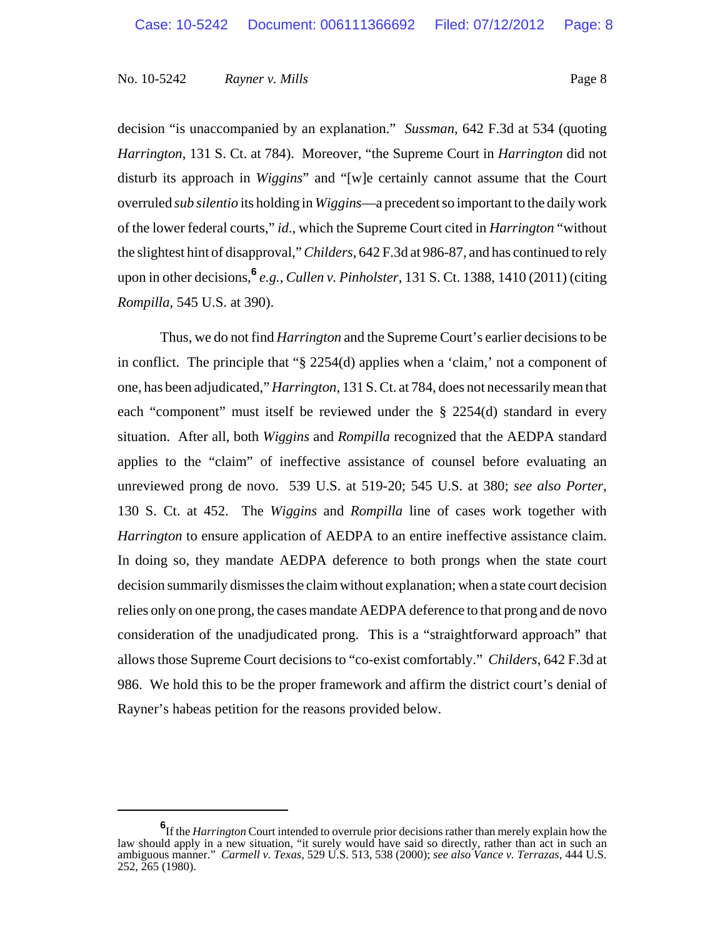decision "is unaccompanied by an explanation." *Sussman*, 642 F.3d at 534 (quoting *Harrington*, 131 S. Ct. at 784). Moreover, "the Supreme Court in *Harrington* did not disturb its approach in *Wiggins*" and "[w]e certainly cannot assume that the Court overruled *sub silentio* its holding in *Wiggins*—a precedent so important to the daily work of the lower federal courts," *id*., which the Supreme Court cited in *Harrington* "without the slightest hint of disapproval," *Childers*, 642 F.3d at 986-87, and has continued to rely upon in other decisions,**<sup>6</sup>** *e.g.*, *Cullen v. Pinholster*, 131 S. Ct. 1388, 1410 (2011) (citing *Rompilla*, 545 U.S. at 390).

Thus, we do not find *Harrington* and the Supreme Court's earlier decisions to be in conflict. The principle that "§ 2254(d) applies when a 'claim,' not a component of one, has been adjudicated," *Harrington*, 131 S. Ct. at 784, does not necessarily mean that each "component" must itself be reviewed under the § 2254(d) standard in every situation. After all, both *Wiggins* and *Rompilla* recognized that the AEDPA standard applies to the "claim" of ineffective assistance of counsel before evaluating an unreviewed prong de novo. 539 U.S. at 519-20; 545 U.S. at 380; *see also Porter*, 130 S. Ct. at 452. The *Wiggins* and *Rompilla* line of cases work together with *Harrington* to ensure application of AEDPA to an entire ineffective assistance claim. In doing so, they mandate AEDPA deference to both prongs when the state court decision summarily dismisses the claim without explanation; when a state court decision relies only on one prong, the cases mandate AEDPA deference to that prong and de novo consideration of the unadjudicated prong. This is a "straightforward approach" that allows those Supreme Court decisions to "co-exist comfortably." *Childers*, 642 F.3d at 986. We hold this to be the proper framework and affirm the district court's denial of Rayner's habeas petition for the reasons provided below.

**<sup>6</sup>** If the *Harrington* Court intended to overrule prior decisions rather than merely explain how the law should apply in a new situation, "it surely would have said so directly, rather than act in such an ambiguous manner." *Carmell v. Texas*, 529 U.S. 513, 538 (2000); *see also Vance v. Terrazas*, 444 U.S. 252, 265 (1980).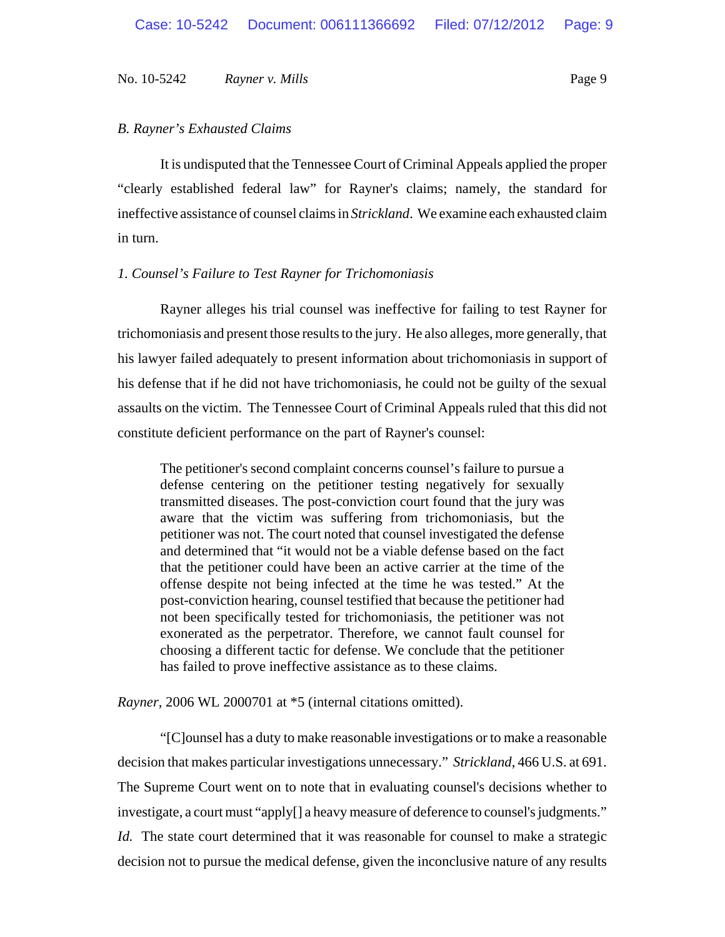# *B. Rayner's Exhausted Claims*

It is undisputed that the Tennessee Court of Criminal Appeals applied the proper "clearly established federal law" for Rayner's claims; namely, the standard for ineffective assistance of counsel claims in *Strickland*. We examine each exhausted claim in turn.

# *1. Counsel's Failure to Test Rayner for Trichomoniasis*

Rayner alleges his trial counsel was ineffective for failing to test Rayner for trichomoniasis and present those results to the jury. He also alleges, more generally, that his lawyer failed adequately to present information about trichomoniasis in support of his defense that if he did not have trichomoniasis, he could not be guilty of the sexual assaults on the victim. The Tennessee Court of Criminal Appeals ruled that this did not constitute deficient performance on the part of Rayner's counsel:

The petitioner's second complaint concerns counsel's failure to pursue a defense centering on the petitioner testing negatively for sexually transmitted diseases. The post-conviction court found that the jury was aware that the victim was suffering from trichomoniasis, but the petitioner was not. The court noted that counsel investigated the defense and determined that "it would not be a viable defense based on the fact that the petitioner could have been an active carrier at the time of the offense despite not being infected at the time he was tested." At the post-conviction hearing, counsel testified that because the petitioner had not been specifically tested for trichomoniasis, the petitioner was not exonerated as the perpetrator. Therefore, we cannot fault counsel for choosing a different tactic for defense. We conclude that the petitioner has failed to prove ineffective assistance as to these claims.

*Rayner*, 2006 WL 2000701 at \*5 (internal citations omitted).

"[C]ounsel has a duty to make reasonable investigations or to make a reasonable decision that makes particular investigations unnecessary." *Strickland*, 466 U.S. at 691. The Supreme Court went on to note that in evaluating counsel's decisions whether to investigate, a court must "apply[] a heavy measure of deference to counsel's judgments." *Id.* The state court determined that it was reasonable for counsel to make a strategic decision not to pursue the medical defense, given the inconclusive nature of any results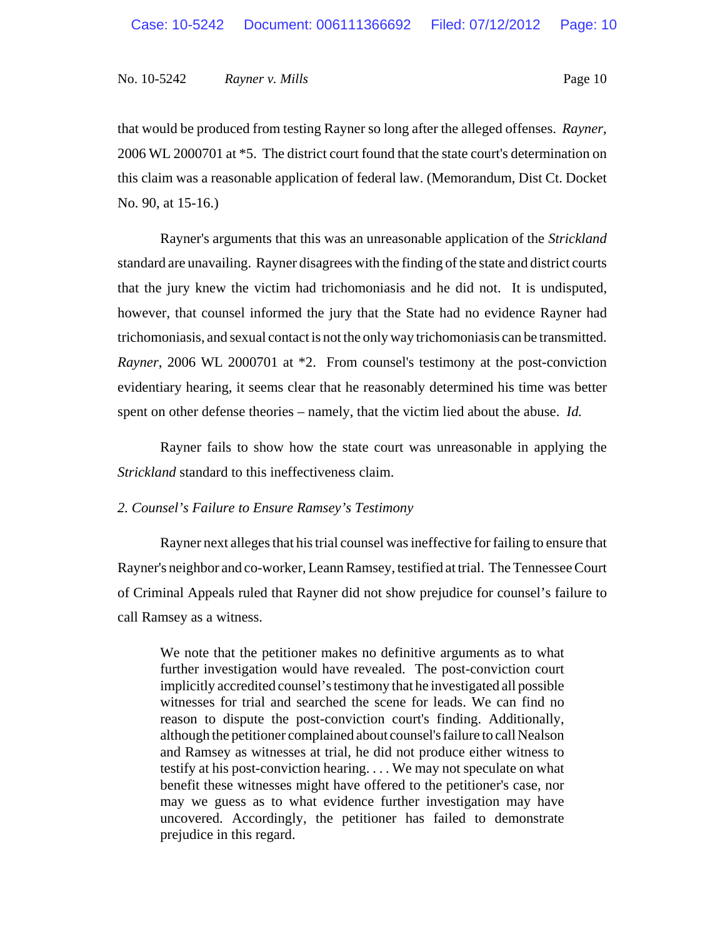that would be produced from testing Rayner so long after the alleged offenses. *Rayner*, 2006 WL 2000701 at \*5. The district court found that the state court's determination on this claim was a reasonable application of federal law. (Memorandum, Dist Ct. Docket No. 90, at 15-16.)

Rayner's arguments that this was an unreasonable application of the *Strickland* standard are unavailing. Rayner disagrees with the finding of the state and district courts that the jury knew the victim had trichomoniasis and he did not. It is undisputed, however, that counsel informed the jury that the State had no evidence Rayner had trichomoniasis, and sexual contact is not the only way trichomoniasis can be transmitted. *Rayner*, 2006 WL 2000701 at \*2. From counsel's testimony at the post-conviction evidentiary hearing, it seems clear that he reasonably determined his time was better spent on other defense theories – namely, that the victim lied about the abuse. *Id.*

Rayner fails to show how the state court was unreasonable in applying the *Strickland* standard to this ineffectiveness claim.

# *2. Counsel's Failure to Ensure Ramsey's Testimony*

Rayner next alleges that his trial counsel was ineffective for failing to ensure that Rayner's neighbor and co-worker, Leann Ramsey, testified at trial. The Tennessee Court of Criminal Appeals ruled that Rayner did not show prejudice for counsel's failure to call Ramsey as a witness.

We note that the petitioner makes no definitive arguments as to what further investigation would have revealed. The post-conviction court implicitly accredited counsel's testimony that he investigated all possible witnesses for trial and searched the scene for leads. We can find no reason to dispute the post-conviction court's finding. Additionally, although the petitioner complained about counsel's failure to call Nealson and Ramsey as witnesses at trial, he did not produce either witness to testify at his post-conviction hearing. . . . We may not speculate on what benefit these witnesses might have offered to the petitioner's case, nor may we guess as to what evidence further investigation may have uncovered. Accordingly, the petitioner has failed to demonstrate prejudice in this regard.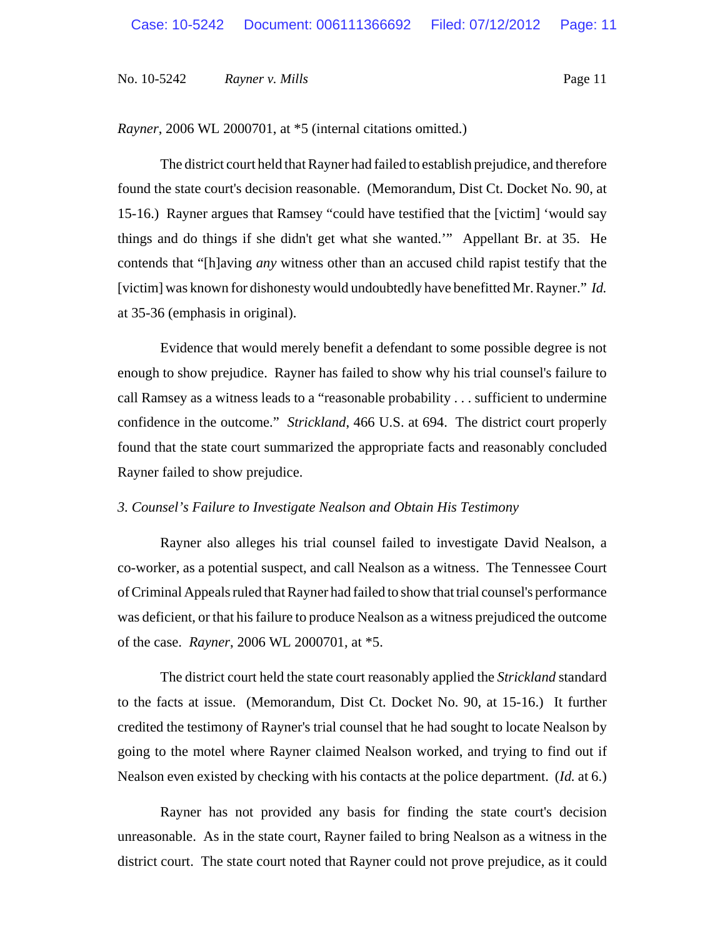*Rayner*, 2006 WL 2000701, at \*5 (internal citations omitted.)

The district court held that Rayner had failed to establish prejudice, and therefore found the state court's decision reasonable. (Memorandum, Dist Ct. Docket No. 90, at 15-16.) Rayner argues that Ramsey "could have testified that the [victim] 'would say things and do things if she didn't get what she wanted.'" Appellant Br. at 35. He contends that "[h]aving *any* witness other than an accused child rapist testify that the [victim] was known for dishonesty would undoubtedly have benefitted Mr. Rayner." *Id.* at 35-36 (emphasis in original).

Evidence that would merely benefit a defendant to some possible degree is not enough to show prejudice. Rayner has failed to show why his trial counsel's failure to call Ramsey as a witness leads to a "reasonable probability . . . sufficient to undermine confidence in the outcome." *Strickland*, 466 U.S. at 694. The district court properly found that the state court summarized the appropriate facts and reasonably concluded Rayner failed to show prejudice.

# *3. Counsel's Failure to Investigate Nealson and Obtain His Testimony*

Rayner also alleges his trial counsel failed to investigate David Nealson, a co-worker, as a potential suspect, and call Nealson as a witness. The Tennessee Court of Criminal Appeals ruled that Rayner had failed to show that trial counsel's performance was deficient, or that his failure to produce Nealson as a witness prejudiced the outcome of the case. *Rayner*, 2006 WL 2000701, at \*5.

The district court held the state court reasonably applied the *Strickland* standard to the facts at issue. (Memorandum, Dist Ct. Docket No. 90, at 15-16.) It further credited the testimony of Rayner's trial counsel that he had sought to locate Nealson by going to the motel where Rayner claimed Nealson worked, and trying to find out if Nealson even existed by checking with his contacts at the police department. (*Id.* at 6.)

Rayner has not provided any basis for finding the state court's decision unreasonable. As in the state court, Rayner failed to bring Nealson as a witness in the district court. The state court noted that Rayner could not prove prejudice, as it could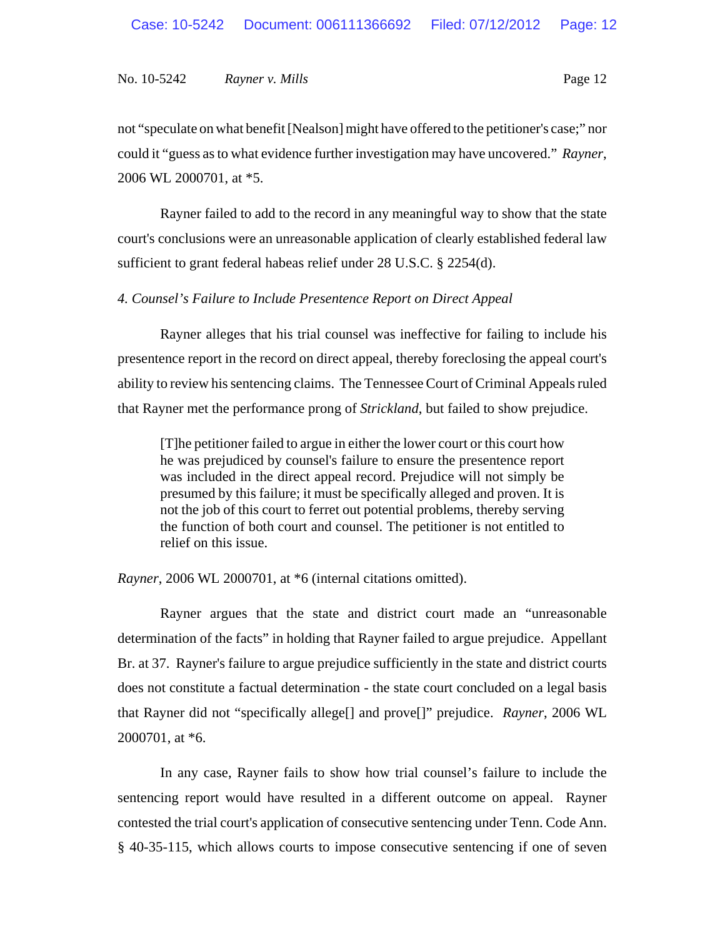not "speculate on what benefit [Nealson] might have offered to the petitioner's case;" nor could it "guess as to what evidence further investigation may have uncovered." *Rayner*, 2006 WL 2000701, at \*5.

Rayner failed to add to the record in any meaningful way to show that the state court's conclusions were an unreasonable application of clearly established federal law sufficient to grant federal habeas relief under 28 U.S.C. § 2254(d).

# *4. Counsel's Failure to Include Presentence Report on Direct Appeal*

Rayner alleges that his trial counsel was ineffective for failing to include his presentence report in the record on direct appeal, thereby foreclosing the appeal court's ability to review his sentencing claims. The Tennessee Court of Criminal Appeals ruled that Rayner met the performance prong of *Strickland*, but failed to show prejudice.

[T]he petitioner failed to argue in either the lower court or this court how he was prejudiced by counsel's failure to ensure the presentence report was included in the direct appeal record. Prejudice will not simply be presumed by this failure; it must be specifically alleged and proven. It is not the job of this court to ferret out potential problems, thereby serving the function of both court and counsel. The petitioner is not entitled to relief on this issue.

*Rayner*, 2006 WL 2000701, at \*6 (internal citations omitted).

Rayner argues that the state and district court made an "unreasonable determination of the facts" in holding that Rayner failed to argue prejudice. Appellant Br. at 37. Rayner's failure to argue prejudice sufficiently in the state and district courts does not constitute a factual determination - the state court concluded on a legal basis that Rayner did not "specifically allege[] and prove[]" prejudice. *Rayner*, 2006 WL 2000701, at \*6.

In any case, Rayner fails to show how trial counsel's failure to include the sentencing report would have resulted in a different outcome on appeal. Rayner contested the trial court's application of consecutive sentencing under Tenn. Code Ann. § 40-35-115, which allows courts to impose consecutive sentencing if one of seven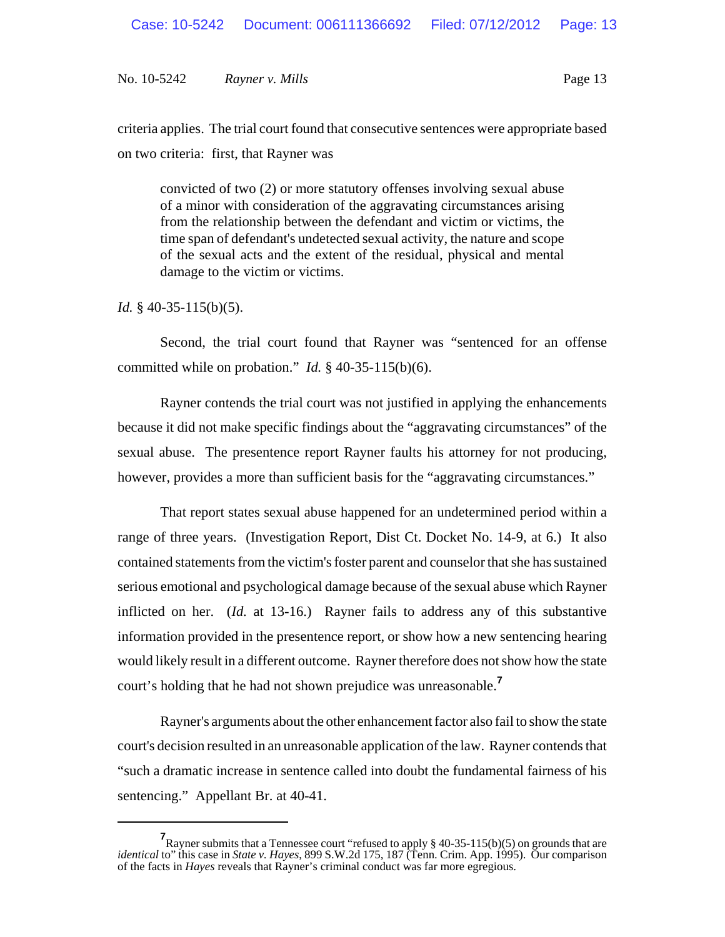criteria applies. The trial court found that consecutive sentences were appropriate based on two criteria: first, that Rayner was

convicted of two (2) or more statutory offenses involving sexual abuse of a minor with consideration of the aggravating circumstances arising from the relationship between the defendant and victim or victims, the time span of defendant's undetected sexual activity, the nature and scope of the sexual acts and the extent of the residual, physical and mental damage to the victim or victims.

*Id.* § 40-35-115(b)(5).

Second, the trial court found that Rayner was "sentenced for an offense committed while on probation." *Id.* § 40-35-115(b)(6).

Rayner contends the trial court was not justified in applying the enhancements because it did not make specific findings about the "aggravating circumstances" of the sexual abuse. The presentence report Rayner faults his attorney for not producing, however, provides a more than sufficient basis for the "aggravating circumstances."

That report states sexual abuse happened for an undetermined period within a range of three years. (Investigation Report, Dist Ct. Docket No. 14-9, at 6.) It also contained statements from the victim's foster parent and counselor that she has sustained serious emotional and psychological damage because of the sexual abuse which Rayner inflicted on her. (*Id.* at 13-16.) Rayner fails to address any of this substantive information provided in the presentence report, or show how a new sentencing hearing would likely result in a different outcome. Rayner therefore does not show how the state court's holding that he had not shown prejudice was unreasonable.**<sup>7</sup>**

Rayner's arguments about the other enhancement factor also fail to show the state court's decision resulted in an unreasonable application of the law. Rayner contends that "such a dramatic increase in sentence called into doubt the fundamental fairness of his sentencing." Appellant Br. at 40-41.

**<sup>7</sup>** Rayner submits that a Tennessee court "refused to apply § 40-35-115(b)(5) on grounds that are *identical* to" this case in *State v. Hayes*, 899 S.W.2d 175, 187 (Tenn. Crim. App. 1995). Our comparison of the facts in *Hayes* reveals that Rayner's criminal conduct was far more egregious.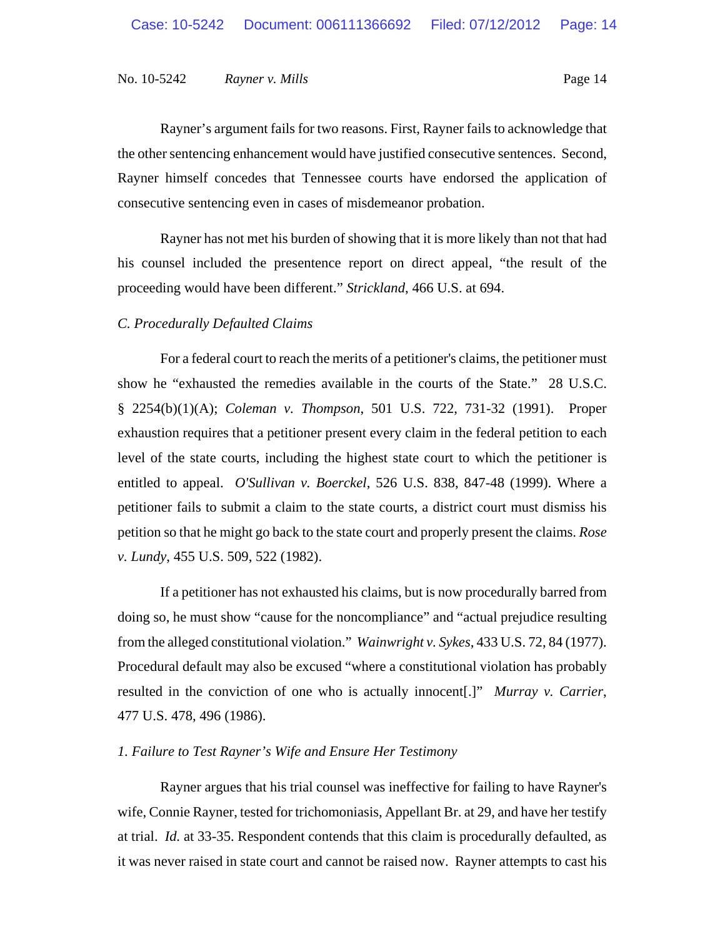Rayner's argument fails for two reasons. First, Rayner fails to acknowledge that the other sentencing enhancement would have justified consecutive sentences. Second, Rayner himself concedes that Tennessee courts have endorsed the application of consecutive sentencing even in cases of misdemeanor probation.

Rayner has not met his burden of showing that it is more likely than not that had his counsel included the presentence report on direct appeal, "the result of the proceeding would have been different." *Strickland*, 466 U.S. at 694.

#### *C. Procedurally Defaulted Claims*

For a federal court to reach the merits of a petitioner's claims, the petitioner must show he "exhausted the remedies available in the courts of the State." 28 U.S.C. § 2254(b)(1)(A); *Coleman v. Thompson*, 501 U.S. 722, 731-32 (1991). Proper exhaustion requires that a petitioner present every claim in the federal petition to each level of the state courts, including the highest state court to which the petitioner is entitled to appeal. *O'Sullivan v. Boerckel*, 526 U.S. 838, 847-48 (1999). Where a petitioner fails to submit a claim to the state courts, a district court must dismiss his petition so that he might go back to the state court and properly present the claims. *Rose v. Lundy*, 455 U.S. 509, 522 (1982).

If a petitioner has not exhausted his claims, but is now procedurally barred from doing so, he must show "cause for the noncompliance" and "actual prejudice resulting from the alleged constitutional violation." *Wainwright v. Sykes*, 433 U.S. 72, 84 (1977). Procedural default may also be excused "where a constitutional violation has probably resulted in the conviction of one who is actually innocent[.]" *Murray v. Carrier*, 477 U.S. 478, 496 (1986).

# *1. Failure to Test Rayner's Wife and Ensure Her Testimony*

Rayner argues that his trial counsel was ineffective for failing to have Rayner's wife, Connie Rayner, tested for trichomoniasis, Appellant Br. at 29, and have her testify at trial. *Id.* at 33-35. Respondent contends that this claim is procedurally defaulted, as it was never raised in state court and cannot be raised now. Rayner attempts to cast his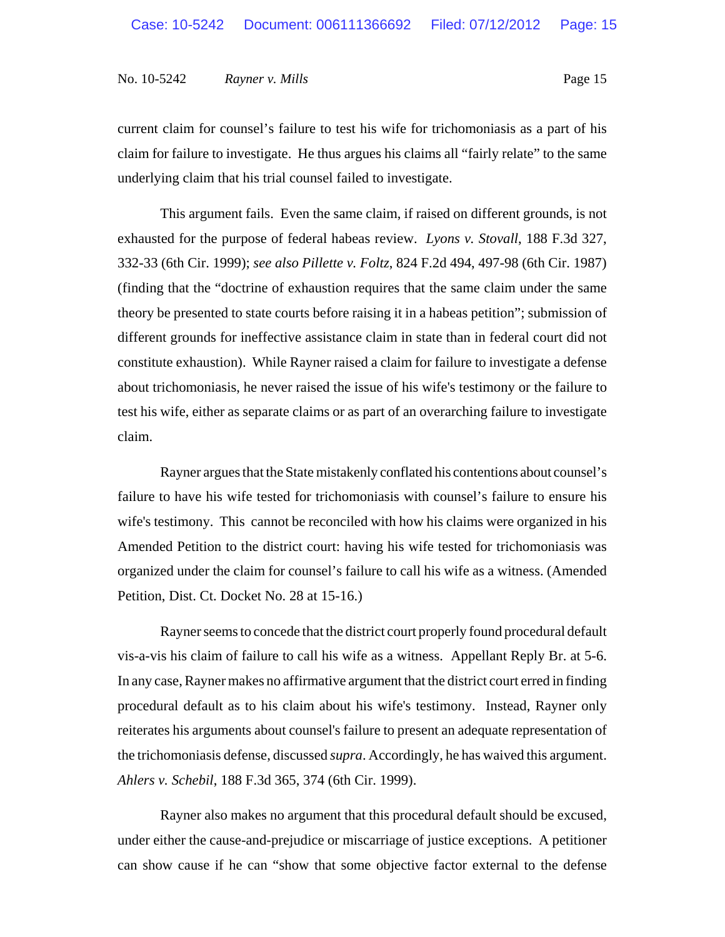current claim for counsel's failure to test his wife for trichomoniasis as a part of his claim for failure to investigate. He thus argues his claims all "fairly relate" to the same underlying claim that his trial counsel failed to investigate.

This argument fails. Even the same claim, if raised on different grounds, is not exhausted for the purpose of federal habeas review. *Lyons v. Stovall*, 188 F.3d 327, 332-33 (6th Cir. 1999); *see also Pillette v. Foltz*, 824 F.2d 494, 497-98 (6th Cir. 1987) (finding that the "doctrine of exhaustion requires that the same claim under the same theory be presented to state courts before raising it in a habeas petition"; submission of different grounds for ineffective assistance claim in state than in federal court did not constitute exhaustion). While Rayner raised a claim for failure to investigate a defense about trichomoniasis, he never raised the issue of his wife's testimony or the failure to test his wife, either as separate claims or as part of an overarching failure to investigate claim.

Rayner argues that the State mistakenly conflated his contentions about counsel's failure to have his wife tested for trichomoniasis with counsel's failure to ensure his wife's testimony. This cannot be reconciled with how his claims were organized in his Amended Petition to the district court: having his wife tested for trichomoniasis was organized under the claim for counsel's failure to call his wife as a witness. (Amended Petition, Dist. Ct. Docket No. 28 at 15-16.)

Rayner seems to concede that the district court properly found procedural default vis-a-vis his claim of failure to call his wife as a witness. Appellant Reply Br. at 5-6. In any case, Rayner makes no affirmative argument that the district court erred in finding procedural default as to his claim about his wife's testimony. Instead, Rayner only reiterates his arguments about counsel's failure to present an adequate representation of the trichomoniasis defense, discussed *supra*. Accordingly, he has waived this argument. *Ahlers v. Schebil*, 188 F.3d 365, 374 (6th Cir. 1999).

Rayner also makes no argument that this procedural default should be excused, under either the cause-and-prejudice or miscarriage of justice exceptions. A petitioner can show cause if he can "show that some objective factor external to the defense